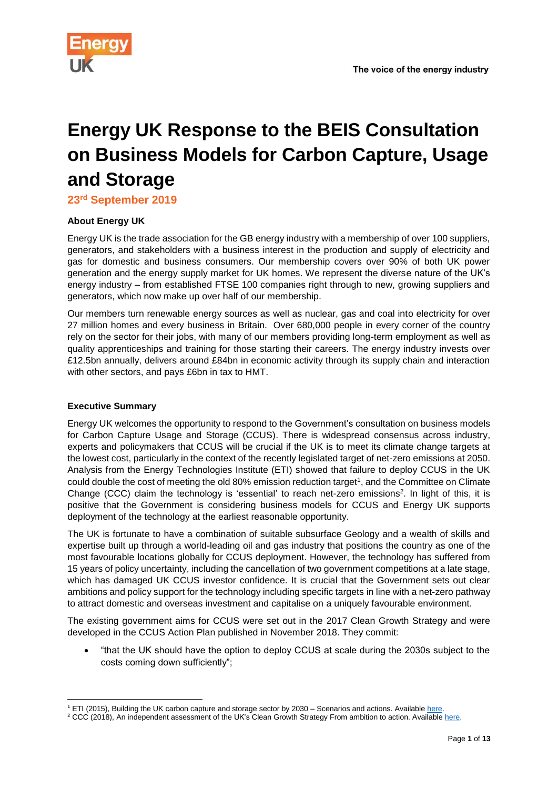

# **Energy UK Response to the BEIS Consultation on Business Models for Carbon Capture, Usage and Storage**

**23rd September 2019**

## **About Energy UK**

Energy UK is the trade association for the GB energy industry with a membership of over 100 suppliers, generators, and stakeholders with a business interest in the production and supply of electricity and gas for domestic and business consumers. Our membership covers over 90% of both UK power generation and the energy supply market for UK homes. We represent the diverse nature of the UK's energy industry – from established FTSE 100 companies right through to new, growing suppliers and generators, which now make up over half of our membership.

Our members turn renewable energy sources as well as nuclear, gas and coal into electricity for over 27 million homes and every business in Britain. Over 680,000 people in every corner of the country rely on the sector for their jobs, with many of our members providing long-term employment as well as quality apprenticeships and training for those starting their careers. The energy industry invests over £12.5bn annually, delivers around £84bn in economic activity through its supply chain and interaction with other sectors, and pays £6bn in tax to HMT.

#### **Executive Summary**

Energy UK welcomes the opportunity to respond to the Government's consultation on business models for Carbon Capture Usage and Storage (CCUS). There is widespread consensus across industry, experts and policymakers that CCUS will be crucial if the UK is to meet its climate change targets at the lowest cost, particularly in the context of the recently legislated target of net-zero emissions at 2050. Analysis from the Energy Technologies Institute (ETI) showed that failure to deploy CCUS in the UK could double the cost of meeting the old 80% emission reduction target<sup>1</sup>, and the Committee on Climate Change (CCC) claim the technology is 'essential' to reach net-zero emissions<sup>2</sup> . In light of this, it is positive that the Government is considering business models for CCUS and Energy UK supports deployment of the technology at the earliest reasonable opportunity.

The UK is fortunate to have a combination of suitable subsurface Geology and a wealth of skills and expertise built up through a world-leading oil and gas industry that positions the country as one of the most favourable locations globally for CCUS deployment. However, the technology has suffered from 15 years of policy uncertainty, including the cancellation of two government competitions at a late stage, which has damaged UK CCUS investor confidence. It is crucial that the Government sets out clear ambitions and policy support for the technology including specific targets in line with a net-zero pathway to attract domestic and overseas investment and capitalise on a uniquely favourable environment.

The existing government aims for CCUS were set out in the 2017 Clean Growth Strategy and were developed in the CCUS Action Plan published in November 2018. They commit:

 "that the UK should have the option to deploy CCUS at scale during the 2030s subject to the costs coming down sufficiently";

<sup>1</sup> <sup>1</sup> ETI (2015), Building the UK carbon capture and storage sector by 2030 – Scenarios and actions. Available [here.](https://s3-eu-west-1.amazonaws.com/assets.eti.co.uk/legacyUploads/2015/03/CCS-Building-the-UK-carbon-capture-and-storage-sector-by-2013.pdf)

<sup>&</sup>lt;sup>2</sup> CCC (2018), An independent assessment of the UK's Clean Growth Strategy From ambition to action. Available [here.](https://www.theccc.org.uk/wp-content/uploads/2018/01/CCC-Independent-Assessment-of-UKs-Clean-Growth-Strategy-2018.pdf)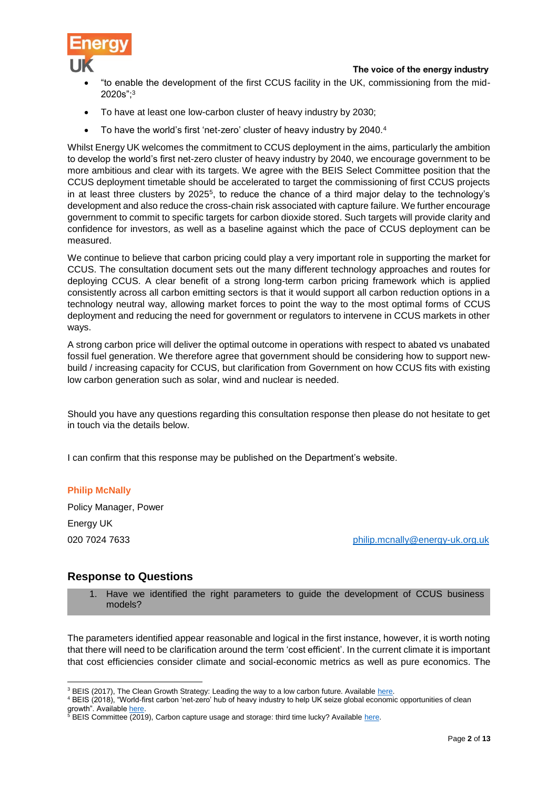

- "to enable the development of the first CCUS facility in the UK, commissioning from the mid-2020s"; 3
- To have at least one low-carbon cluster of heavy industry by 2030;
- To have the world's first 'net-zero' cluster of heavy industry by 2040.4

Whilst Energy UK welcomes the commitment to CCUS deployment in the aims, particularly the ambition to develop the world's first net-zero cluster of heavy industry by 2040, we encourage government to be more ambitious and clear with its targets. We agree with the BEIS Select Committee position that the CCUS deployment timetable should be accelerated to target the commissioning of first CCUS projects in at least three clusters by 2025<sup>5</sup>, to reduce the chance of a third major delay to the technology's development and also reduce the cross-chain risk associated with capture failure. We further encourage government to commit to specific targets for carbon dioxide stored. Such targets will provide clarity and confidence for investors, as well as a baseline against which the pace of CCUS deployment can be measured.

We continue to believe that carbon pricing could play a very important role in supporting the market for CCUS. The consultation document sets out the many different technology approaches and routes for deploying CCUS. A clear benefit of a strong long-term carbon pricing framework which is applied consistently across all carbon emitting sectors is that it would support all carbon reduction options in a technology neutral way, allowing market forces to point the way to the most optimal forms of CCUS deployment and reducing the need for government or regulators to intervene in CCUS markets in other ways.

A strong carbon price will deliver the optimal outcome in operations with respect to abated vs unabated fossil fuel generation. We therefore agree that government should be considering how to support newbuild / increasing capacity for CCUS, but clarification from Government on how CCUS fits with existing low carbon generation such as solar, wind and nuclear is needed.

Should you have any questions regarding this consultation response then please do not hesitate to get in touch via the details below.

I can confirm that this response may be published on the Department's website.

#### **Philip McNally**

Policy Manager, Power Energy UK

020 7024 7633 [philip.mcnally@energy-uk.org.uk](mailto:philip.mcnally@energy-uk.org.uk)

# **Response to Questions**

Have we identified the right parameters to guide the development of CCUS business models?

The parameters identified appear reasonable and logical in the first instance, however, it is worth noting that there will need to be clarification around the term 'cost efficient'. In the current climate it is important that cost efficiencies consider climate and social-economic metrics as well as pure economics. The

**<sup>.</sup>** <sup>3</sup> BEIS (2017), The Clean Growth Strategy: Leading the way to a low carbon future. Available [here.](https://assets.publishing.service.gov.uk/government/uploads/system/uploads/attachment_data/file/700496/clean-growth-strategy-correction-april-2018.pdf)

<sup>4</sup> BEIS (2018), "World-first carbon 'net-zero' hub of heavy industry to help UK seize global economic opportunities of clean growth". Available [here.](https://www.gov.uk/government/news/world-first-carbon-net-zero-hub-of-heavy-industry-to-help-uk-seize-global-economic-opportunities-of-clean-growth)

<sup>&</sup>lt;sup>5</sup> BEIS Committee (2019), Carbon capture usage and storage: third time lucky? Availabl[e here.](https://publications.parliament.uk/pa/cm201719/cmselect/cmbeis/1094/109402.htm)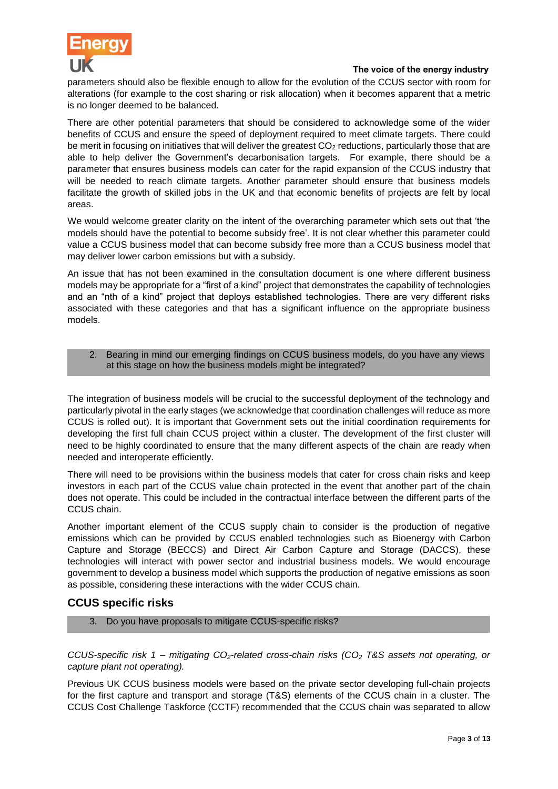

parameters should also be flexible enough to allow for the evolution of the CCUS sector with room for alterations (for example to the cost sharing or risk allocation) when it becomes apparent that a metric is no longer deemed to be balanced.

There are other potential parameters that should be considered to acknowledge some of the wider benefits of CCUS and ensure the speed of deployment required to meet climate targets. There could be merit in focusing on initiatives that will deliver the greatest  $CO<sub>2</sub>$  reductions, particularly those that are able to help deliver the Government's decarbonisation targets. For example, there should be a parameter that ensures business models can cater for the rapid expansion of the CCUS industry that will be needed to reach climate targets. Another parameter should ensure that business models facilitate the growth of skilled jobs in the UK and that economic benefits of projects are felt by local areas.

We would welcome greater clarity on the intent of the overarching parameter which sets out that 'the models should have the potential to become subsidy free'. It is not clear whether this parameter could value a CCUS business model that can become subsidy free more than a CCUS business model that may deliver lower carbon emissions but with a subsidy.

An issue that has not been examined in the consultation document is one where different business models may be appropriate for a "first of a kind" project that demonstrates the capability of technologies and an "nth of a kind" project that deploys established technologies. There are very different risks associated with these categories and that has a significant influence on the appropriate business models.

# 2. Bearing in mind our emerging findings on CCUS business models, do you have any views at this stage on how the business models might be integrated?

The integration of business models will be crucial to the successful deployment of the technology and particularly pivotal in the early stages (we acknowledge that coordination challenges will reduce as more CCUS is rolled out). It is important that Government sets out the initial coordination requirements for developing the first full chain CCUS project within a cluster. The development of the first cluster will need to be highly coordinated to ensure that the many different aspects of the chain are ready when needed and interoperate efficiently.

There will need to be provisions within the business models that cater for cross chain risks and keep investors in each part of the CCUS value chain protected in the event that another part of the chain does not operate. This could be included in the contractual interface between the different parts of the CCUS chain.

Another important element of the CCUS supply chain to consider is the production of negative emissions which can be provided by CCUS enabled technologies such as Bioenergy with Carbon Capture and Storage (BECCS) and Direct Air Carbon Capture and Storage (DACCS), these technologies will interact with power sector and industrial business models. We would encourage government to develop a business model which supports the production of negative emissions as soon as possible, considering these interactions with the wider CCUS chain.

# **CCUS specific risks**

3. Do you have proposals to mitigate CCUS-specific risks?

*CCUS-specific risk 1 – mitigating CO2-related cross-chain risks (CO<sup>2</sup> T&S assets not operating, or capture plant not operating).*

Previous UK CCUS business models were based on the private sector developing full-chain projects for the first capture and transport and storage (T&S) elements of the CCUS chain in a cluster. The CCUS Cost Challenge Taskforce (CCTF) recommended that the CCUS chain was separated to allow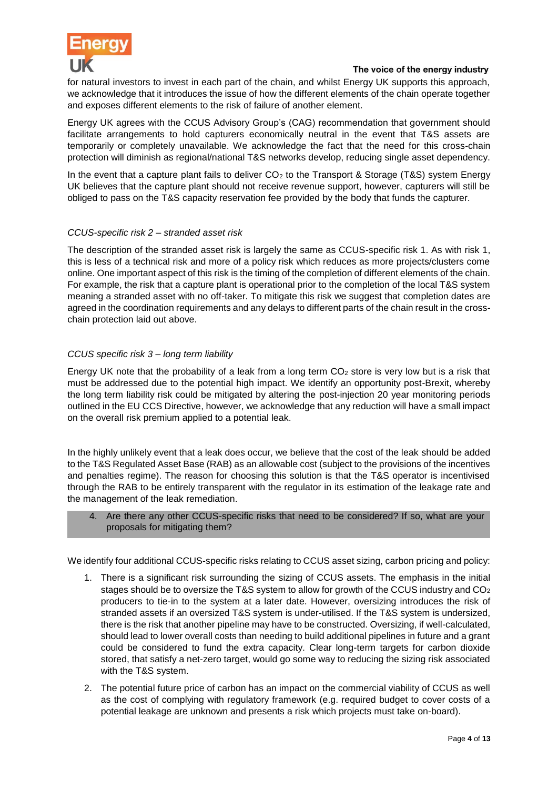

for natural investors to invest in each part of the chain, and whilst Energy UK supports this approach, we acknowledge that it introduces the issue of how the different elements of the chain operate together and exposes different elements to the risk of failure of another element.

Energy UK agrees with the CCUS Advisory Group's (CAG) recommendation that government should facilitate arrangements to hold capturers economically neutral in the event that T&S assets are temporarily or completely unavailable. We acknowledge the fact that the need for this cross-chain protection will diminish as regional/national T&S networks develop, reducing single asset dependency.

In the event that a capture plant fails to deliver  $CO<sub>2</sub>$  to the Transport & Storage (T&S) system Energy UK believes that the capture plant should not receive revenue support, however, capturers will still be obliged to pass on the T&S capacity reservation fee provided by the body that funds the capturer.

# *CCUS-specific risk 2 – stranded asset risk*

The description of the stranded asset risk is largely the same as CCUS-specific risk 1. As with risk 1, this is less of a technical risk and more of a policy risk which reduces as more projects/clusters come online. One important aspect of this risk is the timing of the completion of different elements of the chain. For example, the risk that a capture plant is operational prior to the completion of the local T&S system meaning a stranded asset with no off-taker. To mitigate this risk we suggest that completion dates are agreed in the coordination requirements and any delays to different parts of the chain result in the crosschain protection laid out above.

# *CCUS specific risk 3 – long term liability*

Energy UK note that the probability of a leak from a long term CO<sub>2</sub> store is very low but is a risk that must be addressed due to the potential high impact. We identify an opportunity post-Brexit, whereby the long term liability risk could be mitigated by altering the post-injection 20 year monitoring periods outlined in the EU CCS Directive, however, we acknowledge that any reduction will have a small impact on the overall risk premium applied to a potential leak.

In the highly unlikely event that a leak does occur, we believe that the cost of the leak should be added to the T&S Regulated Asset Base (RAB) as an allowable cost (subject to the provisions of the incentives and penalties regime). The reason for choosing this solution is that the T&S operator is incentivised through the RAB to be entirely transparent with the regulator in its estimation of the leakage rate and the management of the leak remediation.

# 4. Are there any other CCUS-specific risks that need to be considered? If so, what are your proposals for mitigating them?

We identify four additional CCUS-specific risks relating to CCUS asset sizing, carbon pricing and policy:

- 1. There is a significant risk surrounding the sizing of CCUS assets. The emphasis in the initial stages should be to oversize the T&S system to allow for growth of the CCUS industry and  $CO<sub>2</sub>$ producers to tie-in to the system at a later date. However, oversizing introduces the risk of stranded assets if an oversized T&S system is under-utilised. If the T&S system is undersized, there is the risk that another pipeline may have to be constructed. Oversizing, if well-calculated, should lead to lower overall costs than needing to build additional pipelines in future and a grant could be considered to fund the extra capacity. Clear long-term targets for carbon dioxide stored, that satisfy a net-zero target, would go some way to reducing the sizing risk associated with the T&S system.
- 2. The potential future price of carbon has an impact on the commercial viability of CCUS as well as the cost of complying with regulatory framework (e.g. required budget to cover costs of a potential leakage are unknown and presents a risk which projects must take on-board).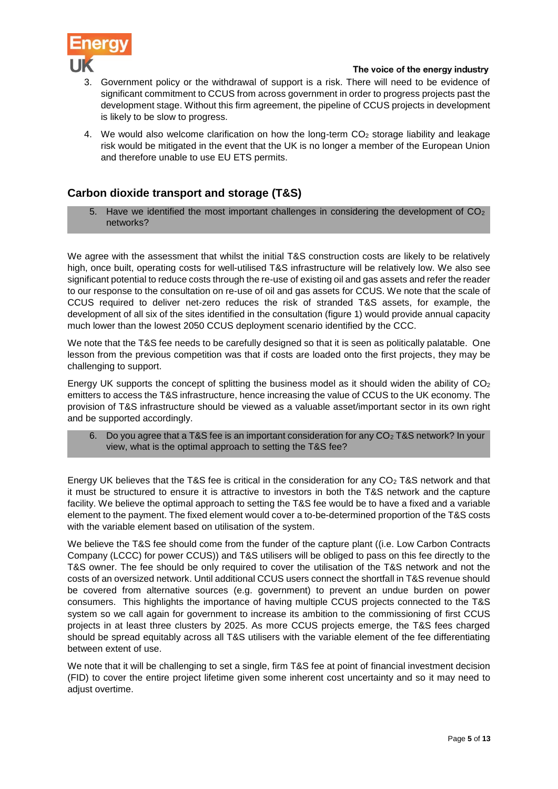

- Government policy or the withdrawal of support is a risk. There will need to be evidence of significant commitment to CCUS from across government in order to progress projects past the development stage. Without this firm agreement, the pipeline of CCUS projects in development is likely to be slow to progress.
- 4. We would also welcome clarification on how the long-term  $CO<sub>2</sub>$  storage liability and leakage risk would be mitigated in the event that the UK is no longer a member of the European Union and therefore unable to use EU ETS permits.

# **Carbon dioxide transport and storage (T&S)**

5. Have we identified the most important challenges in considering the development of  $CO<sub>2</sub>$ networks?

We agree with the assessment that whilst the initial T&S construction costs are likely to be relatively high, once built, operating costs for well-utilised T&S infrastructure will be relatively low. We also see significant potential to reduce costs through the re-use of existing oil and gas assets and refer the reader to our response to the consultation on re-use of oil and gas assets for CCUS. We note that the scale of CCUS required to deliver net-zero reduces the risk of stranded T&S assets, for example, the development of all six of the sites identified in the consultation (figure 1) would provide annual capacity much lower than the lowest 2050 CCUS deployment scenario identified by the CCC.

We note that the T&S fee needs to be carefully designed so that it is seen as politically palatable. One lesson from the previous competition was that if costs are loaded onto the first projects, they may be challenging to support.

Energy UK supports the concept of splitting the business model as it should widen the ability of  $CO<sub>2</sub>$ emitters to access the T&S infrastructure, hence increasing the value of CCUS to the UK economy. The provision of T&S infrastructure should be viewed as a valuable asset/important sector in its own right and be supported accordingly.

6. Do you agree that a T&S fee is an important consideration for any CO<sub>2</sub> T&S network? In your view, what is the optimal approach to setting the T&S fee?

Energy UK believes that the T&S fee is critical in the consideration for any  $CO<sub>2</sub>$  T&S network and that it must be structured to ensure it is attractive to investors in both the T&S network and the capture facility. We believe the optimal approach to setting the T&S fee would be to have a fixed and a variable element to the payment. The fixed element would cover a to-be-determined proportion of the T&S costs with the variable element based on utilisation of the system.

We believe the T&S fee should come from the funder of the capture plant ((i.e. Low Carbon Contracts Company (LCCC) for power CCUS)) and T&S utilisers will be obliged to pass on this fee directly to the T&S owner. The fee should be only required to cover the utilisation of the T&S network and not the costs of an oversized network. Until additional CCUS users connect the shortfall in T&S revenue should be covered from alternative sources (e.g. government) to prevent an undue burden on power consumers. This highlights the importance of having multiple CCUS projects connected to the T&S system so we call again for government to increase its ambition to the commissioning of first CCUS projects in at least three clusters by 2025. As more CCUS projects emerge, the T&S fees charged should be spread equitably across all T&S utilisers with the variable element of the fee differentiating between extent of use.

We note that it will be challenging to set a single, firm T&S fee at point of financial investment decision (FID) to cover the entire project lifetime given some inherent cost uncertainty and so it may need to adjust overtime.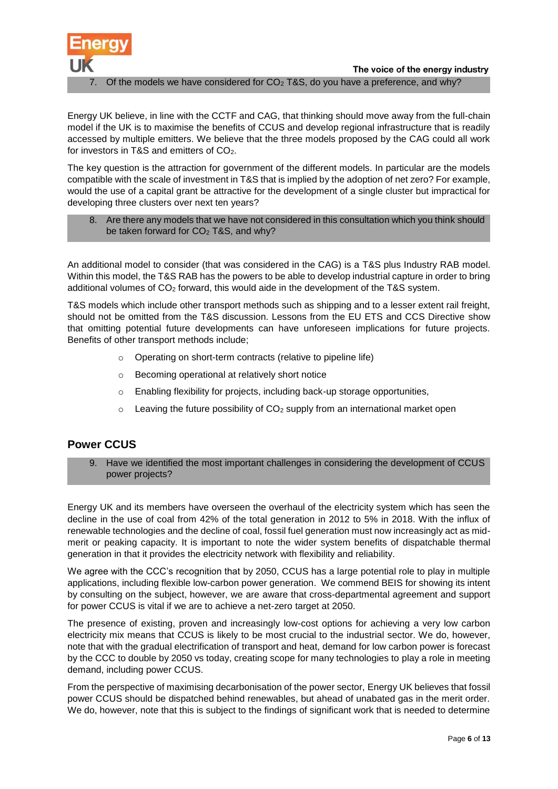

The voice of the energy industry Of the models we have considered for  $CO<sub>2</sub>$  T&S, do you have a preference, and why?

Energy UK believe, in line with the CCTF and CAG, that thinking should move away from the full-chain model if the UK is to maximise the benefits of CCUS and develop regional infrastructure that is readily accessed by multiple emitters. We believe that the three models proposed by the CAG could all work for investors in T&S and emitters of  $CO<sub>2</sub>$ .

The key question is the attraction for government of the different models. In particular are the models compatible with the scale of investment in T&S that is implied by the adoption of net zero? For example, would the use of a capital grant be attractive for the development of a single cluster but impractical for developing three clusters over next ten years?

8. Are there any models that we have not considered in this consultation which you think should be taken forward for CO<sub>2</sub> T&S, and why?

An additional model to consider (that was considered in the CAG) is a T&S plus Industry RAB model. Within this model, the T&S RAB has the powers to be able to develop industrial capture in order to bring additional volumes of CO<sup>2</sup> forward, this would aide in the development of the T&S system.

T&S models which include other transport methods such as shipping and to a lesser extent rail freight, should not be omitted from the T&S discussion. Lessons from the EU ETS and CCS Directive show that omitting potential future developments can have unforeseen implications for future projects. Benefits of other transport methods include;

- o Operating on short-term contracts (relative to pipeline life)
- o Becoming operational at relatively short notice
- $\circ$  Enabling flexibility for projects, including back-up storage opportunities,
- $\circ$  Leaving the future possibility of CO<sub>2</sub> supply from an international market open

# **Power CCUS**

9. Have we identified the most important challenges in considering the development of CCUS power projects?

Energy UK and its members have overseen the overhaul of the electricity system which has seen the decline in the use of coal from 42% of the total generation in 2012 to 5% in 2018. With the influx of renewable technologies and the decline of coal, fossil fuel generation must now increasingly act as midmerit or peaking capacity. It is important to note the wider system benefits of dispatchable thermal generation in that it provides the electricity network with flexibility and reliability.

We agree with the CCC's recognition that by 2050, CCUS has a large potential role to play in multiple applications, including flexible low-carbon power generation. We commend BEIS for showing its intent by consulting on the subject, however, we are aware that cross-departmental agreement and support for power CCUS is vital if we are to achieve a net-zero target at 2050.

The presence of existing, proven and increasingly low-cost options for achieving a very low carbon electricity mix means that CCUS is likely to be most crucial to the industrial sector. We do, however, note that with the gradual electrification of transport and heat, demand for low carbon power is forecast by the CCC to double by 2050 vs today, creating scope for many technologies to play a role in meeting demand, including power CCUS.

From the perspective of maximising decarbonisation of the power sector, Energy UK believes that fossil power CCUS should be dispatched behind renewables, but ahead of unabated gas in the merit order. We do, however, note that this is subject to the findings of significant work that is needed to determine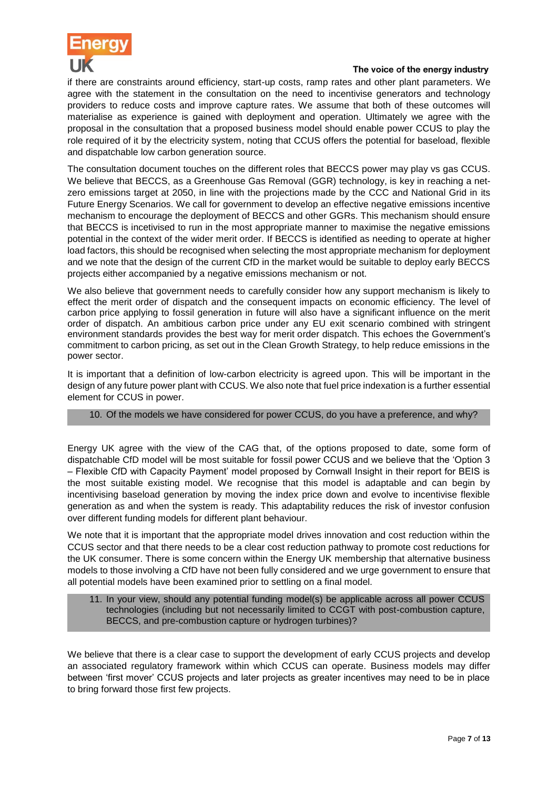

if there are constraints around efficiency, start-up costs, ramp rates and other plant parameters. We agree with the statement in the consultation on the need to incentivise generators and technology providers to reduce costs and improve capture rates. We assume that both of these outcomes will materialise as experience is gained with deployment and operation. Ultimately we agree with the proposal in the consultation that a proposed business model should enable power CCUS to play the role required of it by the electricity system, noting that CCUS offers the potential for baseload, flexible and dispatchable low carbon generation source.

The consultation document touches on the different roles that BECCS power may play vs gas CCUS. We believe that BECCS, as a Greenhouse Gas Removal (GGR) technology, is key in reaching a netzero emissions target at 2050, in line with the projections made by the CCC and National Grid in its Future Energy Scenarios. We call for government to develop an effective negative emissions incentive mechanism to encourage the deployment of BECCS and other GGRs. This mechanism should ensure that BECCS is incetivised to run in the most appropriate manner to maximise the negative emissions potential in the context of the wider merit order. If BECCS is identified as needing to operate at higher load factors, this should be recognised when selecting the most appropriate mechanism for deployment and we note that the design of the current CfD in the market would be suitable to deploy early BECCS projects either accompanied by a negative emissions mechanism or not.

We also believe that government needs to carefully consider how any support mechanism is likely to effect the merit order of dispatch and the consequent impacts on economic efficiency. The level of carbon price applying to fossil generation in future will also have a significant influence on the merit order of dispatch. An ambitious carbon price under any EU exit scenario combined with stringent environment standards provides the best way for merit order dispatch. This echoes the Government's commitment to carbon pricing, as set out in the Clean Growth Strategy, to help reduce emissions in the power sector.

It is important that a definition of low-carbon electricity is agreed upon. This will be important in the design of any future power plant with CCUS. We also note that fuel price indexation is a further essential element for CCUS in power.

# 10. Of the models we have considered for power CCUS, do you have a preference, and why?

Energy UK agree with the view of the CAG that, of the options proposed to date, some form of dispatchable CfD model will be most suitable for fossil power CCUS and we believe that the 'Option 3 – Flexible CfD with Capacity Payment' model proposed by Cornwall Insight in their report for BEIS is the most suitable existing model. We recognise that this model is adaptable and can begin by incentivising baseload generation by moving the index price down and evolve to incentivise flexible generation as and when the system is ready. This adaptability reduces the risk of investor confusion over different funding models for different plant behaviour.

We note that it is important that the appropriate model drives innovation and cost reduction within the CCUS sector and that there needs to be a clear cost reduction pathway to promote cost reductions for the UK consumer. There is some concern within the Energy UK membership that alternative business models to those involving a CfD have not been fully considered and we urge government to ensure that all potential models have been examined prior to settling on a final model.

11. In your view, should any potential funding model(s) be applicable across all power CCUS technologies (including but not necessarily limited to CCGT with post-combustion capture, BECCS, and pre-combustion capture or hydrogen turbines)?

We believe that there is a clear case to support the development of early CCUS projects and develop an associated regulatory framework within which CCUS can operate. Business models may differ between 'first mover' CCUS projects and later projects as greater incentives may need to be in place to bring forward those first few projects.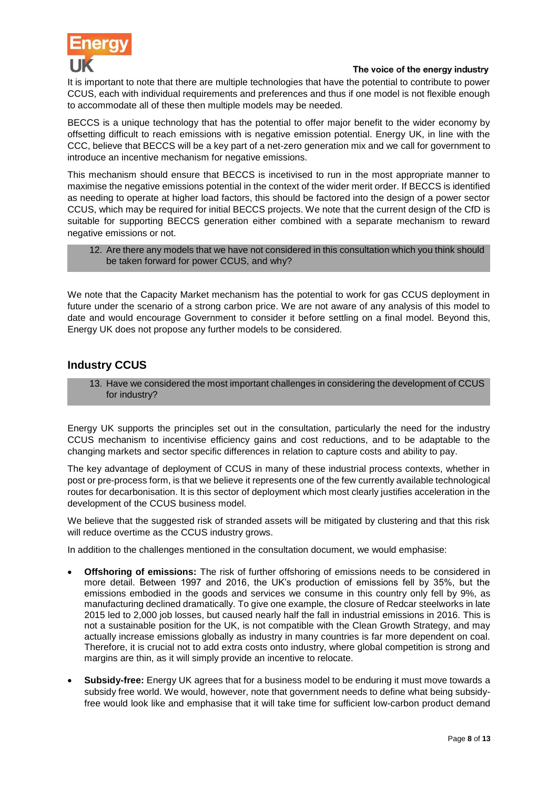

It is important to note that there are multiple technologies that have the potential to contribute to power CCUS, each with individual requirements and preferences and thus if one model is not flexible enough to accommodate all of these then multiple models may be needed.

BECCS is a unique technology that has the potential to offer major benefit to the wider economy by offsetting difficult to reach emissions with is negative emission potential. Energy UK, in line with the CCC, believe that BECCS will be a key part of a net-zero generation mix and we call for government to introduce an incentive mechanism for negative emissions.

This mechanism should ensure that BECCS is incetivised to run in the most appropriate manner to maximise the negative emissions potential in the context of the wider merit order. If BECCS is identified as needing to operate at higher load factors, this should be factored into the design of a power sector CCUS, which may be required for initial BECCS projects. We note that the current design of the CfD is suitable for supporting BECCS generation either combined with a separate mechanism to reward negative emissions or not.

12. Are there any models that we have not considered in this consultation which you think should be taken forward for power CCUS, and why?

We note that the Capacity Market mechanism has the potential to work for gas CCUS deployment in future under the scenario of a strong carbon price. We are not aware of any analysis of this model to date and would encourage Government to consider it before settling on a final model. Beyond this, Energy UK does not propose any further models to be considered.

# **Industry CCUS**

13. Have we considered the most important challenges in considering the development of CCUS for industry?

Energy UK supports the principles set out in the consultation, particularly the need for the industry CCUS mechanism to incentivise efficiency gains and cost reductions, and to be adaptable to the changing markets and sector specific differences in relation to capture costs and ability to pay.

The key advantage of deployment of CCUS in many of these industrial process contexts, whether in post or pre-process form, is that we believe it represents one of the few currently available technological routes for decarbonisation. It is this sector of deployment which most clearly justifies acceleration in the development of the CCUS business model.

We believe that the suggested risk of stranded assets will be mitigated by clustering and that this risk will reduce overtime as the CCUS industry grows.

In addition to the challenges mentioned in the consultation document, we would emphasise:

- **Offshoring of emissions:** The risk of further offshoring of emissions needs to be considered in more detail. Between 1997 and 2016, the UK's production of emissions fell by 35%, but the emissions embodied in the goods and services we consume in this country only fell by 9%, as manufacturing declined dramatically. To give one example, the closure of Redcar steelworks in late 2015 led to 2,000 job losses, but caused nearly half the fall in industrial emissions in 2016. This is not a sustainable position for the UK, is not compatible with the Clean Growth Strategy, and may actually increase emissions globally as industry in many countries is far more dependent on coal. Therefore, it is crucial not to add extra costs onto industry, where global competition is strong and margins are thin, as it will simply provide an incentive to relocate.
- **Subsidy-free:** Energy UK agrees that for a business model to be enduring it must move towards a subsidy free world. We would, however, note that government needs to define what being subsidyfree would look like and emphasise that it will take time for sufficient low-carbon product demand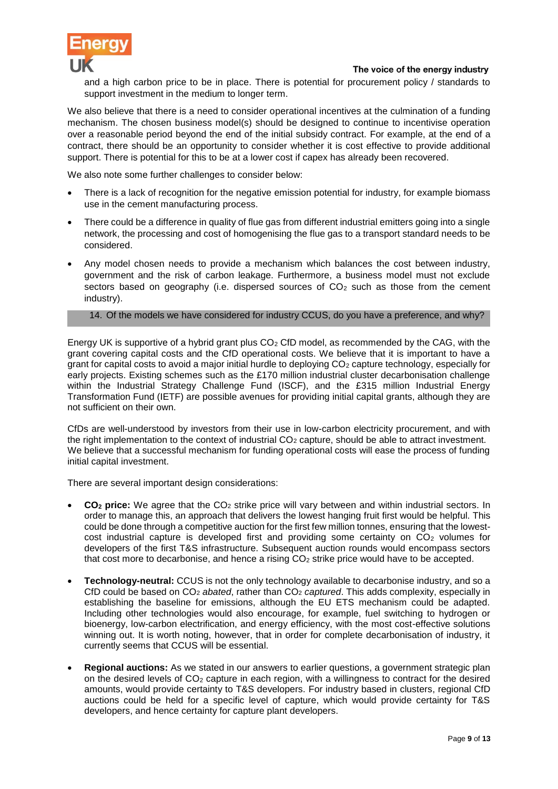

and a high carbon price to be in place. There is potential for procurement policy / standards to support investment in the medium to longer term.

We also believe that there is a need to consider operational incentives at the culmination of a funding mechanism. The chosen business model(s) should be designed to continue to incentivise operation over a reasonable period beyond the end of the initial subsidy contract. For example, at the end of a contract, there should be an opportunity to consider whether it is cost effective to provide additional support. There is potential for this to be at a lower cost if capex has already been recovered.

We also note some further challenges to consider below:

- There is a lack of recognition for the negative emission potential for industry, for example biomass use in the cement manufacturing process.
- There could be a difference in quality of flue gas from different industrial emitters going into a single network, the processing and cost of homogenising the flue gas to a transport standard needs to be considered.
- Any model chosen needs to provide a mechanism which balances the cost between industry, government and the risk of carbon leakage. Furthermore, a business model must not exclude sectors based on geography (i.e. dispersed sources of  $CO<sub>2</sub>$  such as those from the cement industry).

# 14. Of the models we have considered for industry CCUS, do you have a preference, and why?

Energy UK is supportive of a hybrid grant plus  $CO<sub>2</sub>$  CfD model, as recommended by the CAG, with the grant covering capital costs and the CfD operational costs. We believe that it is important to have a grant for capital costs to avoid a major initial hurdle to deploying  $CO<sub>2</sub>$  capture technology, especially for early projects. Existing schemes such as the £170 million industrial cluster decarbonisation challenge within the Industrial Strategy Challenge Fund (ISCF), and the £315 million Industrial Energy Transformation Fund (IETF) are possible avenues for providing initial capital grants, although they are not sufficient on their own.

CfDs are well-understood by investors from their use in low-carbon electricity procurement, and with the right implementation to the context of industrial  $CO<sub>2</sub>$  capture, should be able to attract investment. We believe that a successful mechanism for funding operational costs will ease the process of funding initial capital investment.

There are several important design considerations:

- **CO<sup>2</sup> price:** We agree that the CO<sup>2</sup> strike price will vary between and within industrial sectors. In order to manage this, an approach that delivers the lowest hanging fruit first would be helpful. This could be done through a competitive auction for the first few million tonnes, ensuring that the lowestcost industrial capture is developed first and providing some certainty on CO<sub>2</sub> volumes for developers of the first T&S infrastructure. Subsequent auction rounds would encompass sectors that cost more to decarbonise, and hence a rising CO<sub>2</sub> strike price would have to be accepted.
- **Technology-neutral:** CCUS is not the only technology available to decarbonise industry, and so a CfD could be based on CO<sup>2</sup> *abated*, rather than CO<sup>2</sup> *captured*. This adds complexity, especially in establishing the baseline for emissions, although the EU ETS mechanism could be adapted. Including other technologies would also encourage, for example, fuel switching to hydrogen or bioenergy, low-carbon electrification, and energy efficiency, with the most cost-effective solutions winning out. It is worth noting, however, that in order for complete decarbonisation of industry, it currently seems that CCUS will be essential.
- **Regional auctions:** As we stated in our answers to earlier questions, a government strategic plan on the desired levels of  $CO<sub>2</sub>$  capture in each region, with a willingness to contract for the desired amounts, would provide certainty to T&S developers. For industry based in clusters, regional CfD auctions could be held for a specific level of capture, which would provide certainty for T&S developers, and hence certainty for capture plant developers.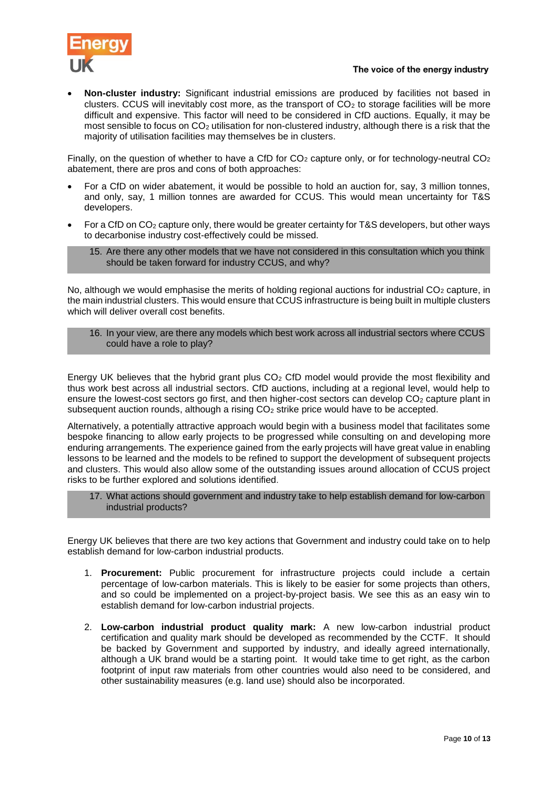

 **Non-cluster industry:** Significant industrial emissions are produced by facilities not based in clusters. CCUS will inevitably cost more, as the transport of  $CO<sub>2</sub>$  to storage facilities will be more difficult and expensive. This factor will need to be considered in CfD auctions. Equally, it may be most sensible to focus on CO<sup>2</sup> utilisation for non-clustered industry, although there is a risk that the majority of utilisation facilities may themselves be in clusters.

Finally, on the question of whether to have a CfD for  $CO<sub>2</sub>$  capture only, or for technology-neutral  $CO<sub>2</sub>$ abatement, there are pros and cons of both approaches:

- For a CfD on wider abatement, it would be possible to hold an auction for, say, 3 million tonnes, and only, say, 1 million tonnes are awarded for CCUS. This would mean uncertainty for T&S developers.
- For a CfD on CO<sup>2</sup> capture only, there would be greater certainty for T&S developers, but other ways to decarbonise industry cost-effectively could be missed.
	- 15. Are there any other models that we have not considered in this consultation which you think should be taken forward for industry CCUS, and why?

No, although we would emphasise the merits of holding regional auctions for industrial CO<sub>2</sub> capture, in the main industrial clusters. This would ensure that CCUS infrastructure is being built in multiple clusters which will deliver overall cost benefits.

16. In your view, are there any models which best work across all industrial sectors where CCUS could have a role to play?

Energy UK believes that the hybrid grant plus  $CO<sub>2</sub>$  CfD model would provide the most flexibility and thus work best across all industrial sectors. CfD auctions, including at a regional level, would help to ensure the lowest-cost sectors go first, and then higher-cost sectors can develop CO<sub>2</sub> capture plant in subsequent auction rounds, although a rising  $CO<sub>2</sub>$  strike price would have to be accepted.

Alternatively, a potentially attractive approach would begin with a business model that facilitates some bespoke financing to allow early projects to be progressed while consulting on and developing more enduring arrangements. The experience gained from the early projects will have great value in enabling lessons to be learned and the models to be refined to support the development of subsequent projects and clusters. This would also allow some of the outstanding issues around allocation of CCUS project risks to be further explored and solutions identified.

17. What actions should government and industry take to help establish demand for low-carbon industrial products?

Energy UK believes that there are two key actions that Government and industry could take on to help establish demand for low-carbon industrial products.

- 1. **Procurement:** Public procurement for infrastructure projects could include a certain percentage of low-carbon materials. This is likely to be easier for some projects than others, and so could be implemented on a project-by-project basis. We see this as an easy win to establish demand for low-carbon industrial projects.
- 2. **Low-carbon industrial product quality mark:** A new low-carbon industrial product certification and quality mark should be developed as recommended by the CCTF. It should be backed by Government and supported by industry, and ideally agreed internationally, although a UK brand would be a starting point. It would take time to get right, as the carbon footprint of input raw materials from other countries would also need to be considered, and other sustainability measures (e.g. land use) should also be incorporated.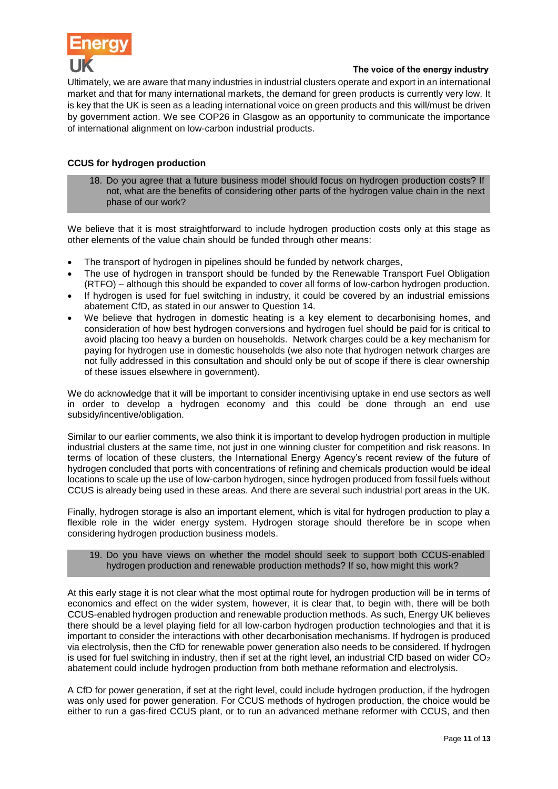

Ultimately, we are aware that many industries in industrial clusters operate and export in an international market and that for many international markets, the demand for green products is currently very low. It is key that the UK is seen as a leading international voice on green products and this will/must be driven by government action. We see COP26 in Glasgow as an opportunity to communicate the importance of international alignment on low-carbon industrial products.

# **CCUS for hydrogen production**

18. Do you agree that a future business model should focus on hydrogen production costs? If not, what are the benefits of considering other parts of the hydrogen value chain in the next phase of our work?

We believe that it is most straightforward to include hydrogen production costs only at this stage as other elements of the value chain should be funded through other means:

- The transport of hydrogen in pipelines should be funded by network charges,
- The use of hydrogen in transport should be funded by the Renewable Transport Fuel Obligation (RTFO) – although this should be expanded to cover all forms of low-carbon hydrogen production.
- If hydrogen is used for fuel switching in industry, it could be covered by an industrial emissions abatement CfD, as stated in our answer to Question 14.
- We believe that hydrogen in domestic heating is a key element to decarbonising homes, and consideration of how best hydrogen conversions and hydrogen fuel should be paid for is critical to avoid placing too heavy a burden on households. Network charges could be a key mechanism for paying for hydrogen use in domestic households (we also note that hydrogen network charges are not fully addressed in this consultation and should only be out of scope if there is clear ownership of these issues elsewhere in government).

We do acknowledge that it will be important to consider incentivising uptake in end use sectors as well in order to develop a hydrogen economy and this could be done through an end use subsidy/incentive/obligation.

Similar to our earlier comments, we also think it is important to develop hydrogen production in multiple industrial clusters at the same time, not just in one winning cluster for competition and risk reasons. In terms of location of these clusters, the International Energy Agency's recent review of the future of hydrogen concluded that ports with concentrations of refining and chemicals production would be ideal locations to scale up the use of low-carbon hydrogen, since hydrogen produced from fossil fuels without CCUS is already being used in these areas. And there are several such industrial port areas in the UK.

Finally, hydrogen storage is also an important element, which is vital for hydrogen production to play a flexible role in the wider energy system. Hydrogen storage should therefore be in scope when considering hydrogen production business models.

## 19. Do you have views on whether the model should seek to support both CCUS-enabled hydrogen production and renewable production methods? If so, how might this work?

At this early stage it is not clear what the most optimal route for hydrogen production will be in terms of economics and effect on the wider system, however, it is clear that, to begin with, there will be both CCUS-enabled hydrogen production and renewable production methods. As such, Energy UK believes there should be a level playing field for all low-carbon hydrogen production technologies and that it is important to consider the interactions with other decarbonisation mechanisms. If hydrogen is produced via electrolysis, then the CfD for renewable power generation also needs to be considered. If hydrogen is used for fuel switching in industry, then if set at the right level, an industrial CfD based on wider  $CO<sub>2</sub>$ abatement could include hydrogen production from both methane reformation and electrolysis.

A CfD for power generation, if set at the right level, could include hydrogen production, if the hydrogen was only used for power generation. For CCUS methods of hydrogen production, the choice would be either to run a gas-fired CCUS plant, or to run an advanced methane reformer with CCUS, and then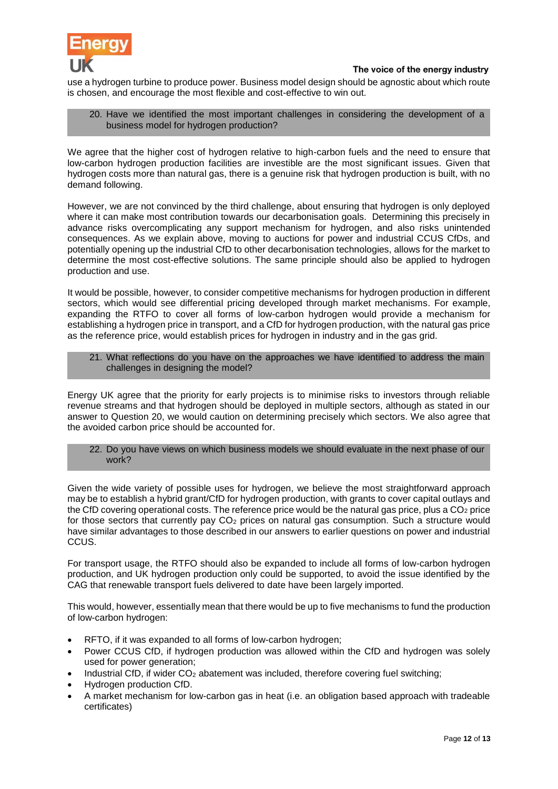

use a hydrogen turbine to produce power. Business model design should be agnostic about which route is chosen, and encourage the most flexible and cost-effective to win out.

## 20. Have we identified the most important challenges in considering the development of a business model for hydrogen production?

We agree that the higher cost of hydrogen relative to high-carbon fuels and the need to ensure that low-carbon hydrogen production facilities are investible are the most significant issues. Given that hydrogen costs more than natural gas, there is a genuine risk that hydrogen production is built, with no demand following.

However, we are not convinced by the third challenge, about ensuring that hydrogen is only deployed where it can make most contribution towards our decarbonisation goals. Determining this precisely in advance risks overcomplicating any support mechanism for hydrogen, and also risks unintended consequences. As we explain above, moving to auctions for power and industrial CCUS CfDs, and potentially opening up the industrial CfD to other decarbonisation technologies, allows for the market to determine the most cost-effective solutions. The same principle should also be applied to hydrogen production and use.

It would be possible, however, to consider competitive mechanisms for hydrogen production in different sectors, which would see differential pricing developed through market mechanisms. For example, expanding the RTFO to cover all forms of low-carbon hydrogen would provide a mechanism for establishing a hydrogen price in transport, and a CfD for hydrogen production, with the natural gas price as the reference price, would establish prices for hydrogen in industry and in the gas grid.

## 21. What reflections do you have on the approaches we have identified to address the main challenges in designing the model?

Energy UK agree that the priority for early projects is to minimise risks to investors through reliable revenue streams and that hydrogen should be deployed in multiple sectors, although as stated in our answer to Question 20, we would caution on determining precisely which sectors. We also agree that the avoided carbon price should be accounted for.

22. Do you have views on which business models we should evaluate in the next phase of our work?

Given the wide variety of possible uses for hydrogen, we believe the most straightforward approach may be to establish a hybrid grant/CfD for hydrogen production, with grants to cover capital outlays and the CfD covering operational costs. The reference price would be the natural gas price, plus a  $CO<sub>2</sub>$  price for those sectors that currently pay CO<sup>2</sup> prices on natural gas consumption. Such a structure would have similar advantages to those described in our answers to earlier questions on power and industrial CCUS.

For transport usage, the RTFO should also be expanded to include all forms of low-carbon hydrogen production, and UK hydrogen production only could be supported, to avoid the issue identified by the CAG that renewable transport fuels delivered to date have been largely imported.

This would, however, essentially mean that there would be up to five mechanisms to fund the production of low-carbon hydrogen:

- RFTO, if it was expanded to all forms of low-carbon hydrogen;
- Power CCUS CfD, if hydrogen production was allowed within the CfD and hydrogen was solely used for power generation;
- Industrial CfD, if wider  $CO<sub>2</sub>$  abatement was included, therefore covering fuel switching;
- Hydrogen production CfD.
- A market mechanism for low-carbon gas in heat (i.e. an obligation based approach with tradeable certificates)